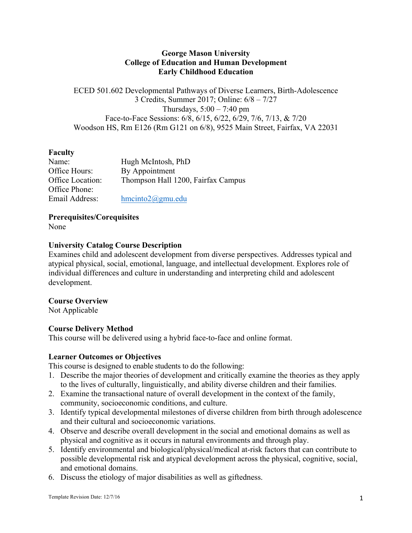## **George Mason University College of Education and Human Development Early Childhood Education**

ECED 501.602 Developmental Pathways of Diverse Learners, Birth-Adolescence 3 Credits, Summer 2017; Online: 6/8 – 7/27 Thursdays,  $5:00 - 7:40$  pm Face-to-Face Sessions: 6/8, 6/15, 6/22, 6/29, 7/6, 7/13, & 7/20 Woodson HS, Rm E126 (Rm G121 on 6/8), 9525 Main Street, Fairfax, VA 22031

# **Faculty**

| Name:            | Hugh McIntosh, PhD                 |
|------------------|------------------------------------|
| Office Hours:    | By Appointment                     |
| Office Location: | Thompson Hall 1200, Fairfax Campus |
| Office Phone:    |                                    |
| Email Address:   | $h$ mcinto $2$ @gmu.edu            |

**Prerequisites/Corequisites**

None

### **University Catalog Course Description**

Examines child and adolescent development from diverse perspectives. Addresses typical and atypical physical, social, emotional, language, and intellectual development. Explores role of individual differences and culture in understanding and interpreting child and adolescent development.

# **Course Overview**

Not Applicable

# **Course Delivery Method**

This course will be delivered using a hybrid face-to-face and online format.

### **Learner Outcomes or Objectives**

This course is designed to enable students to do the following:

- 1. Describe the major theories of development and critically examine the theories as they apply to the lives of culturally, linguistically, and ability diverse children and their families.
- 2. Examine the transactional nature of overall development in the context of the family, community, socioeconomic conditions, and culture.
- 3. Identify typical developmental milestones of diverse children from birth through adolescence and their cultural and socioeconomic variations.
- 4. Observe and describe overall development in the social and emotional domains as well as physical and cognitive as it occurs in natural environments and through play.
- 5. Identify environmental and biological/physical/medical at-risk factors that can contribute to possible developmental risk and atypical development across the physical, cognitive, social, and emotional domains.
- 6. Discuss the etiology of major disabilities as well as giftedness.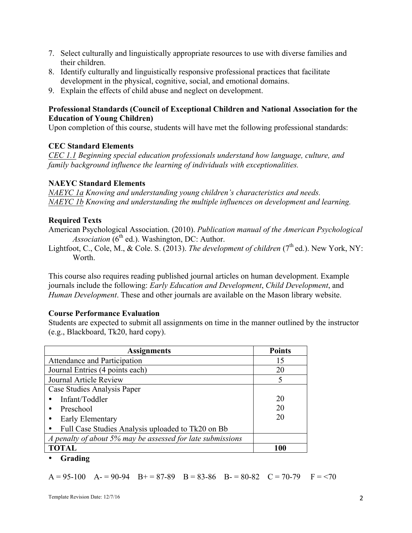- 7. Select culturally and linguistically appropriate resources to use with diverse families and their children.
- 8. Identify culturally and linguistically responsive professional practices that facilitate development in the physical, cognitive, social, and emotional domains.
- 9. Explain the effects of child abuse and neglect on development.

### **Professional Standards (Council of Exceptional Children and National Association for the Education of Young Children)**

Upon completion of this course, students will have met the following professional standards:

### **CEC Standard Elements**

*CEC 1.1 Beginning special education professionals understand how language, culture, and family background influence the learning of individuals with exceptionalities.*

#### **NAEYC Standard Elements**

*NAEYC 1a Knowing and understanding young children's characteristics and needs. NAEYC 1b Knowing and understanding the multiple influences on development and learning.*

## **Required Texts**

American Psychological Association. (2010). *Publication manual of the American Psychological*   $$ 

Lightfoot, C., Cole, M., & Cole. S. (2013). *The development of children*  $(7<sup>th</sup>$ ed.). New York, NY: Worth.

This course also requires reading published journal articles on human development. Example journals include the following: *Early Education and Development*, *Child Development*, and *Human Development*. These and other journals are available on the Mason library website.

#### **Course Performance Evaluation**

Students are expected to submit all assignments on time in the manner outlined by the instructor (e.g., Blackboard, Tk20, hard copy).

| <b>Assignments</b>                                         | <b>Points</b> |
|------------------------------------------------------------|---------------|
| Attendance and Participation                               | 15            |
| Journal Entries (4 points each)                            | 20            |
| Journal Article Review                                     |               |
| Case Studies Analysis Paper                                |               |
| Infant/Toddler                                             | 20            |
| Preschool                                                  | 20            |
| Early Elementary                                           | 20            |
| Full Case Studies Analysis uploaded to Tk20 on Bb          |               |
| A penalty of about 5% may be assessed for late submissions |               |
| <b>TOTAL</b>                                               | 100           |

### • **Grading**

 $A = 95-100$   $A = 90-94$   $B = 87-89$   $B = 83-86$   $B = 80-82$   $C = 70-79$   $F = 70$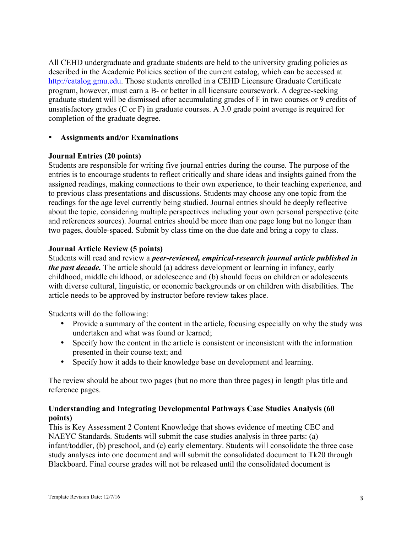All CEHD undergraduate and graduate students are held to the university grading policies as described in the Academic Policies section of the current catalog, which can be accessed at http://catalog.gmu.edu. Those students enrolled in a CEHD Licensure Graduate Certificate program, however, must earn a B- or better in all licensure coursework. A degree-seeking graduate student will be dismissed after accumulating grades of F in two courses or 9 credits of unsatisfactory grades (C or F) in graduate courses. A 3.0 grade point average is required for completion of the graduate degree.

### • **Assignments and/or Examinations**

### **Journal Entries (20 points)**

Students are responsible for writing five journal entries during the course. The purpose of the entries is to encourage students to reflect critically and share ideas and insights gained from the assigned readings, making connections to their own experience, to their teaching experience, and to previous class presentations and discussions. Students may choose any one topic from the readings for the age level currently being studied. Journal entries should be deeply reflective about the topic, considering multiple perspectives including your own personal perspective (cite and references sources). Journal entries should be more than one page long but no longer than two pages, double-spaced. Submit by class time on the due date and bring a copy to class.

### **Journal Article Review (5 points)**

Students will read and review a *peer-reviewed, empirical-research journal article published in the past decade.* The article should (a) address development or learning in infancy, early childhood, middle childhood, or adolescence and (b) should focus on children or adolescents with diverse cultural, linguistic, or economic backgrounds or on children with disabilities. The article needs to be approved by instructor before review takes place.

Students will do the following:

- Provide a summary of the content in the article, focusing especially on why the study was undertaken and what was found or learned;
- Specify how the content in the article is consistent or inconsistent with the information presented in their course text; and
- Specify how it adds to their knowledge base on development and learning.

The review should be about two pages (but no more than three pages) in length plus title and reference pages.

### **Understanding and Integrating Developmental Pathways Case Studies Analysis (60 points)**

This is Key Assessment 2 Content Knowledge that shows evidence of meeting CEC and NAEYC Standards. Students will submit the case studies analysis in three parts: (a) infant/toddler, (b) preschool, and (c) early elementary. Students will consolidate the three case study analyses into one document and will submit the consolidated document to Tk20 through Blackboard. Final course grades will not be released until the consolidated document is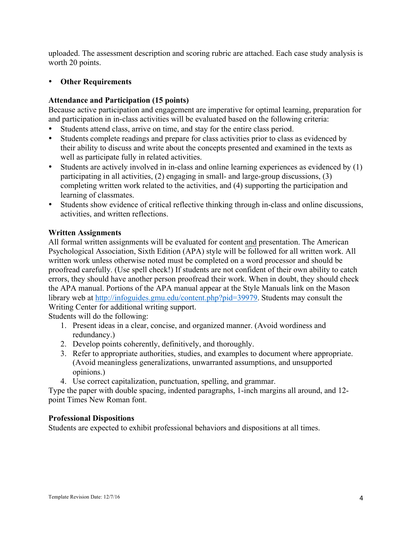uploaded. The assessment description and scoring rubric are attached. Each case study analysis is worth 20 points.

## • **Other Requirements**

## **Attendance and Participation (15 points)**

Because active participation and engagement are imperative for optimal learning, preparation for and participation in in-class activities will be evaluated based on the following criteria:

- Students attend class, arrive on time, and stay for the entire class period.
- Students complete readings and prepare for class activities prior to class as evidenced by their ability to discuss and write about the concepts presented and examined in the texts as well as participate fully in related activities.
- Students are actively involved in in-class and online learning experiences as evidenced by (1) participating in all activities, (2) engaging in small- and large-group discussions, (3) completing written work related to the activities, and (4) supporting the participation and learning of classmates.
- Students show evidence of critical reflective thinking through in-class and online discussions, activities, and written reflections.

### **Written Assignments**

All formal written assignments will be evaluated for content and presentation. The American Psychological Association, Sixth Edition (APA) style will be followed for all written work. All written work unless otherwise noted must be completed on a word processor and should be proofread carefully. (Use spell check!) If students are not confident of their own ability to catch errors, they should have another person proofread their work. When in doubt, they should check the APA manual. Portions of the APA manual appear at the Style Manuals link on the Mason library web at http://infoguides.gmu.edu/content.php?pid=39979. Students may consult the Writing Center for additional writing support.

Students will do the following:

- 1. Present ideas in a clear, concise, and organized manner. (Avoid wordiness and redundancy.)
- 2. Develop points coherently, definitively, and thoroughly.
- 3. Refer to appropriate authorities, studies, and examples to document where appropriate. (Avoid meaningless generalizations, unwarranted assumptions, and unsupported opinions.)
- 4. Use correct capitalization, punctuation, spelling, and grammar.

Type the paper with double spacing, indented paragraphs, 1-inch margins all around, and 12 point Times New Roman font.

### **Professional Dispositions**

Students are expected to exhibit professional behaviors and dispositions at all times.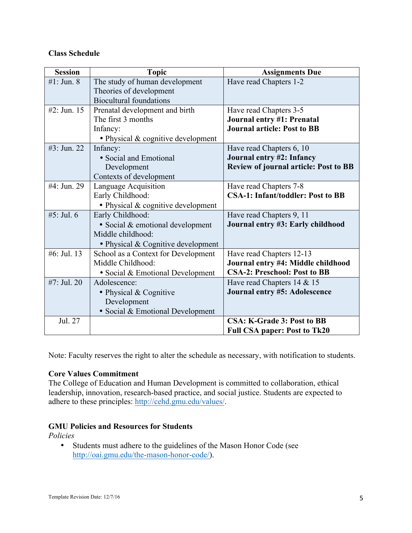# **Class Schedule**

| <b>Session</b> | <b>Topic</b>                        | <b>Assignments Due</b>                       |
|----------------|-------------------------------------|----------------------------------------------|
| #1: Jun. $8$   | The study of human development      | Have read Chapters 1-2                       |
|                | Theories of development             |                                              |
|                | <b>Biocultural foundations</b>      |                                              |
| #2: Jun. $15$  | Prenatal development and birth      | Have read Chapters 3-5                       |
|                | The first 3 months                  | Journal entry #1: Prenatal                   |
|                | Infancy:                            | <b>Journal article: Post to BB</b>           |
|                | • Physical & cognitive development  |                                              |
| #3: Jun. 22    | Infancy:                            | Have read Chapters 6, 10                     |
|                | • Social and Emotional              | Journal entry #2: Infancy                    |
|                | Development                         | <b>Review of journal article: Post to BB</b> |
|                | Contexts of development             |                                              |
| #4: Jun. 29    | Language Acquisition                | Have read Chapters 7-8                       |
|                | Early Childhood:                    | <b>CSA-1: Infant/toddler: Post to BB</b>     |
|                | • Physical & cognitive development  |                                              |
| #5: Jul. $6$   | Early Childhood:                    | Have read Chapters 9, 11                     |
|                | • Social & emotional development    | Journal entry #3: Early childhood            |
|                | Middle childhood:                   |                                              |
|                | • Physical & Cognitive development  |                                              |
| #6: Jul. 13    | School as a Context for Development | Have read Chapters 12-13                     |
|                | Middle Childhood:                   | Journal entry #4: Middle childhood           |
|                | • Social & Emotional Development    | <b>CSA-2: Preschool: Post to BB</b>          |
| #7: Jul. 20    | Adolescence:                        | Have read Chapters 14 & 15                   |
|                | • Physical & Cognitive              | Journal entry #5: Adolescence                |
|                | Development                         |                                              |
|                | • Social & Emotional Development    |                                              |
| Jul. 27        |                                     | <b>CSA: K-Grade 3: Post to BB</b>            |
|                |                                     | <b>Full CSA paper: Post to Tk20</b>          |

Note: Faculty reserves the right to alter the schedule as necessary, with notification to students.

# **Core Values Commitment**

The College of Education and Human Development is committed to collaboration, ethical leadership, innovation, research-based practice, and social justice. Students are expected to adhere to these principles: http://cehd.gmu.edu/values/.

# **GMU Policies and Resources for Students**

*Policies*

• Students must adhere to the guidelines of the Mason Honor Code (see http://oai.gmu.edu/the-mason-honor-code/).